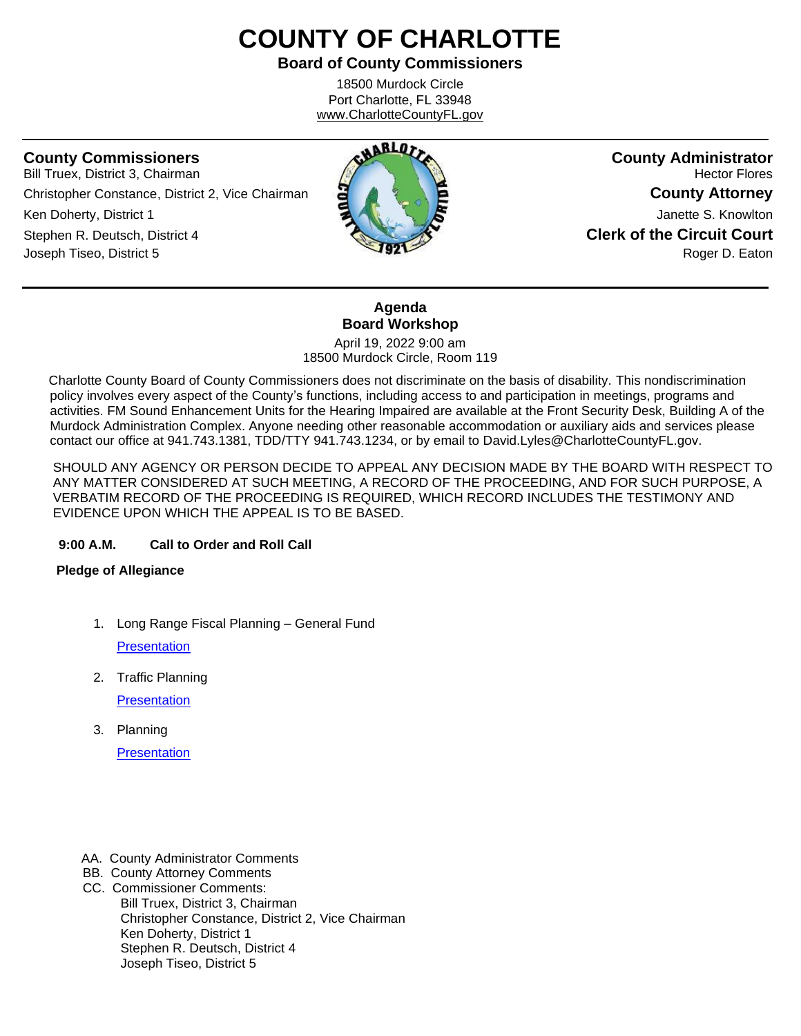# **COUNTY OF CHARLOTTE**

**Board of County Commissioners**

18500 Murdock Circle Port Charlotte, FL 33948 www.CharlotteCountyFL.gov

ֺ֘֒

Bill Truex, District 3, Chairman **Hector Flores Hector Flores Hector Flores Hector Flores** Christopher Constance, District 2, Vice Chairman **County Attorney Ken Doherty, District 1 County Attorney Attachment Attorney Attorney Attorney Attorney Attorney Janette S. Knowlton** Stephen R. Deutsch, District 4 **Clerk of the Circuit Court** Joseph Tiseo, District 5 **Roger D. Eaton Roger D. Eaton Roger D. Eaton** 



#### **Agenda Board Workshop** April 19, 2022 9:00 am

18500 Murdock Circle, Room 119

 Charlotte County Board of County Commissioners does not discriminate on the basis of disability. This nondiscrimination policy involves every aspect of the County's functions, including access to and participation in meetings, programs and activities. FM Sound Enhancement Units for the Hearing Impaired are available at the Front Security Desk, Building A of the Murdock Administration Complex. Anyone needing other reasonable accommodation or auxiliary aids and services please contact our office at 941.743.1381, TDD/TTY 941.743.1234, or by email to David.Lyles@CharlotteCountyFL.gov.

SHOULD ANY AGENCY OR PERSON DECIDE TO APPEAL ANY DECISION MADE BY THE BOARD WITH RESPECT TO ANY MATTER CONSIDERED AT SUCH MEETING, A RECORD OF THE PROCEEDING, AND FOR SUCH PURPOSE, A VERBATIM RECORD OF THE PROCEEDING IS REQUIRED, WHICH RECORD INCLUDES THE TESTIMONY AND EVIDENCE UPON WHICH THE APPEAL IS TO BE BASED.

### **9:00 A.M. Call to Order and Roll Call**

### **Pledge of Allegiance**

- 1. Long Range Fiscal Planning General Fund **[Presentation](https://data.charlottecountyfl.gov/agenda/20220419/1.pdf)**
- 2. Traffic Planning **[Presentation](https://data.charlottecountyfl.gov/agenda/20220419/2.pdf)**
- 3. Planning

**[Presentation](https://data.charlottecountyfl.gov/agenda/20220419/3.pdf)** 

- AA. County Administrator Comments
- BB. County Attorney Comments
- CC. Commissioner Comments: Bill Truex, District 3, Chairman Christopher Constance, District 2, Vice Chairman Ken Doherty, District 1 Stephen R. Deutsch, District 4 Joseph Tiseo, District 5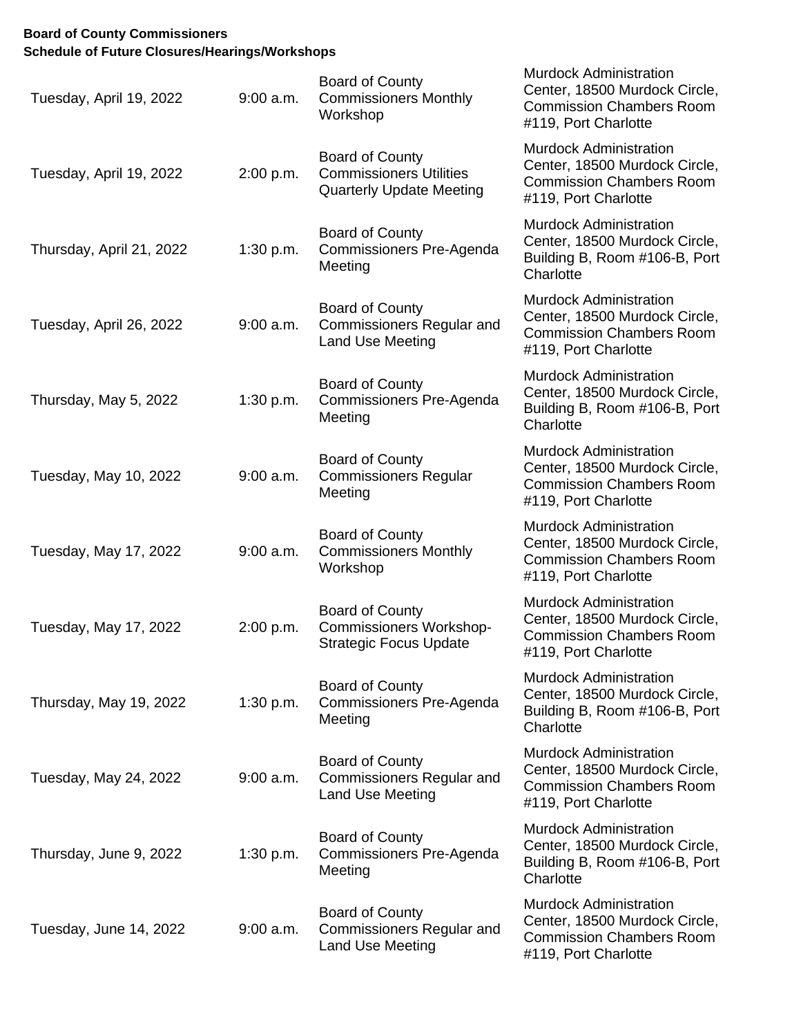## **Board of County Commissioners Schedule of Future Closures/Hearings/Workshops**

| Tuesday, April 19, 2022  | $9:00$ a.m. | <b>Board of County</b><br><b>Commissioners Monthly</b><br>Workshop                        | <b>Murdock Administration</b><br>Center, 18500 Murdock Circle,<br><b>Commission Chambers Room</b><br>#119, Port Charlotte |
|--------------------------|-------------|-------------------------------------------------------------------------------------------|---------------------------------------------------------------------------------------------------------------------------|
| Tuesday, April 19, 2022  | 2:00 p.m.   | Board of County<br><b>Commissioners Utilities</b><br><b>Quarterly Update Meeting</b>      | <b>Murdock Administration</b><br>Center, 18500 Murdock Circle,<br><b>Commission Chambers Room</b><br>#119, Port Charlotte |
| Thursday, April 21, 2022 | 1:30 p.m.   | Board of County<br>Commissioners Pre-Agenda<br>Meeting                                    | <b>Murdock Administration</b><br>Center, 18500 Murdock Circle,<br>Building B, Room #106-B, Port<br>Charlotte              |
| Tuesday, April 26, 2022  | $9:00$ a.m. | Board of County<br><b>Commissioners Regular and</b><br><b>Land Use Meeting</b>            | <b>Murdock Administration</b><br>Center, 18500 Murdock Circle,<br><b>Commission Chambers Room</b><br>#119, Port Charlotte |
| Thursday, May 5, 2022    | 1:30 p.m.   | Board of County<br>Commissioners Pre-Agenda<br>Meeting                                    | <b>Murdock Administration</b><br>Center, 18500 Murdock Circle,<br>Building B, Room #106-B, Port<br>Charlotte              |
| Tuesday, May 10, 2022    | $9:00$ a.m. | Board of County<br><b>Commissioners Regular</b><br>Meeting                                | <b>Murdock Administration</b><br>Center, 18500 Murdock Circle,<br><b>Commission Chambers Room</b><br>#119, Port Charlotte |
| Tuesday, May 17, 2022    | $9:00$ a.m. | <b>Board of County</b><br><b>Commissioners Monthly</b><br>Workshop                        | <b>Murdock Administration</b><br>Center, 18500 Murdock Circle,<br><b>Commission Chambers Room</b><br>#119, Port Charlotte |
| Tuesday, May 17, 2022    | 2:00 p.m.   | <b>Board of County</b><br><b>Commissioners Workshop-</b><br><b>Strategic Focus Update</b> | <b>Murdock Administration</b><br>Center, 18500 Murdock Circle,<br><b>Commission Chambers Room</b><br>#119, Port Charlotte |
| Thursday, May 19, 2022   | 1:30 p.m.   | <b>Board of County</b><br>Commissioners Pre-Agenda<br>Meeting                             | <b>Murdock Administration</b><br>Center, 18500 Murdock Circle,<br>Building B, Room #106-B, Port<br>Charlotte              |
| Tuesday, May 24, 2022    | $9:00$ a.m. | Board of County<br><b>Commissioners Regular and</b><br>Land Use Meeting                   | <b>Murdock Administration</b><br>Center, 18500 Murdock Circle,<br><b>Commission Chambers Room</b><br>#119, Port Charlotte |
| Thursday, June 9, 2022   | 1:30 p.m.   | <b>Board of County</b><br>Commissioners Pre-Agenda<br>Meeting                             | <b>Murdock Administration</b><br>Center, 18500 Murdock Circle,<br>Building B, Room #106-B, Port<br>Charlotte              |
| Tuesday, June 14, 2022   | $9:00$ a.m. | <b>Board of County</b><br><b>Commissioners Regular and</b><br>Land Use Meeting            | <b>Murdock Administration</b><br>Center, 18500 Murdock Circle,<br><b>Commission Chambers Room</b><br>#119, Port Charlotte |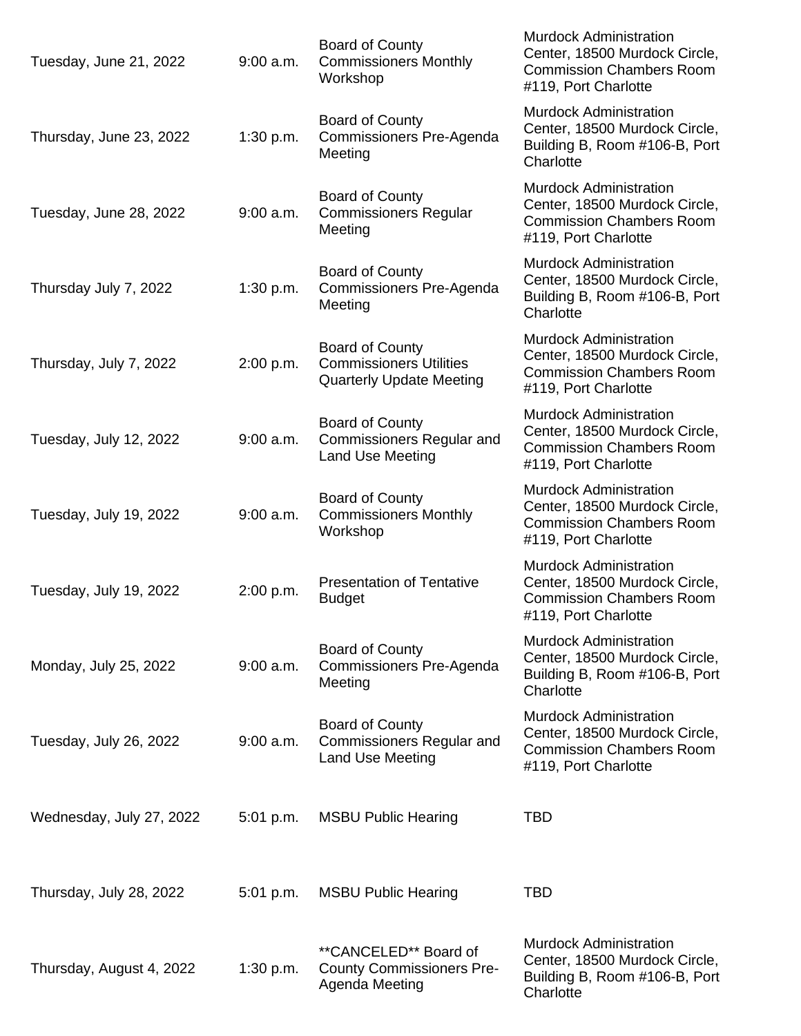| Tuesday, June 21, 2022   | $9:00$ a.m. | Board of County<br><b>Commissioners Monthly</b><br>Workshop                                 | <b>Murdock Administration</b><br>Center, 18500 Murdock Circle,<br><b>Commission Chambers Room</b><br>#119, Port Charlotte |
|--------------------------|-------------|---------------------------------------------------------------------------------------------|---------------------------------------------------------------------------------------------------------------------------|
| Thursday, June 23, 2022  | 1:30 p.m.   | <b>Board of County</b><br>Commissioners Pre-Agenda<br>Meeting                               | <b>Murdock Administration</b><br>Center, 18500 Murdock Circle,<br>Building B, Room #106-B, Port<br>Charlotte              |
| Tuesday, June 28, 2022   | 9:00 a.m.   | <b>Board of County</b><br><b>Commissioners Regular</b><br>Meeting                           | <b>Murdock Administration</b><br>Center, 18500 Murdock Circle,<br><b>Commission Chambers Room</b><br>#119, Port Charlotte |
| Thursday July 7, 2022    | 1:30 p.m.   | Board of County<br>Commissioners Pre-Agenda<br>Meeting                                      | <b>Murdock Administration</b><br>Center, 18500 Murdock Circle,<br>Building B, Room #106-B, Port<br>Charlotte              |
| Thursday, July 7, 2022   | 2:00 p.m.   | <b>Board of County</b><br><b>Commissioners Utilities</b><br><b>Quarterly Update Meeting</b> | <b>Murdock Administration</b><br>Center, 18500 Murdock Circle,<br><b>Commission Chambers Room</b><br>#119, Port Charlotte |
| Tuesday, July 12, 2022   | $9:00$ a.m. | <b>Board of County</b><br><b>Commissioners Regular and</b><br>Land Use Meeting              | <b>Murdock Administration</b><br>Center, 18500 Murdock Circle,<br><b>Commission Chambers Room</b><br>#119, Port Charlotte |
| Tuesday, July 19, 2022   | 9:00 a.m.   | Board of County<br><b>Commissioners Monthly</b><br>Workshop                                 | <b>Murdock Administration</b><br>Center, 18500 Murdock Circle,<br><b>Commission Chambers Room</b><br>#119, Port Charlotte |
| Tuesday, July 19, 2022   | 2:00 p.m.   | <b>Presentation of Tentative</b><br><b>Budget</b>                                           | <b>Murdock Administration</b><br>Center, 18500 Murdock Circle,<br><b>Commission Chambers Room</b><br>#119, Port Charlotte |
| Monday, July 25, 2022    | $9:00$ a.m. | Board of County<br>Commissioners Pre-Agenda<br>Meeting                                      | <b>Murdock Administration</b><br>Center, 18500 Murdock Circle,<br>Building B, Room #106-B, Port<br>Charlotte              |
| Tuesday, July 26, 2022   | $9:00$ a.m. | <b>Board of County</b><br><b>Commissioners Regular and</b><br>Land Use Meeting              | <b>Murdock Administration</b><br>Center, 18500 Murdock Circle,<br><b>Commission Chambers Room</b><br>#119, Port Charlotte |
| Wednesday, July 27, 2022 | $5:01$ p.m. | <b>MSBU Public Hearing</b>                                                                  | <b>TBD</b>                                                                                                                |
| Thursday, July 28, 2022  | $5:01$ p.m. | <b>MSBU Public Hearing</b>                                                                  | <b>TBD</b>                                                                                                                |
| Thursday, August 4, 2022 | 1:30 p.m.   | **CANCELED** Board of<br><b>County Commissioners Pre-</b><br>Agenda Meeting                 | <b>Murdock Administration</b><br>Center, 18500 Murdock Circle,<br>Building B, Room #106-B, Port<br>Charlotte              |